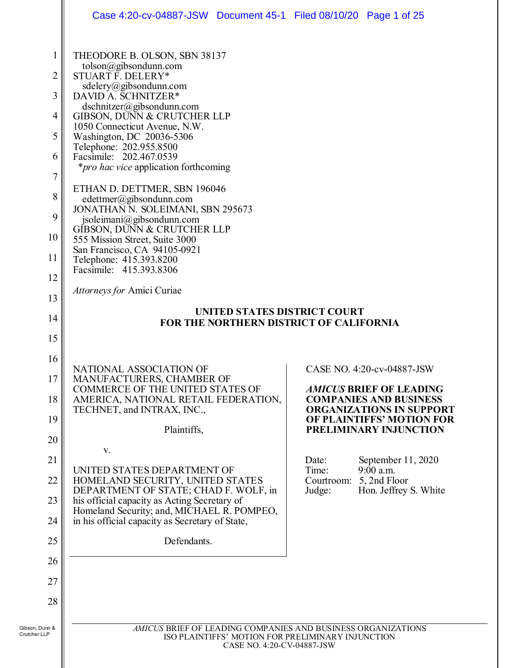|                                                                          | Case 4:20-cv-04887-JSW Document 45-1 Filed 08/10/20 Page 1 of 25                                                                                                                                                                                                                                                                                                                                                                                                                                                                                                                                                                                                                        |                                                                                 |
|--------------------------------------------------------------------------|-----------------------------------------------------------------------------------------------------------------------------------------------------------------------------------------------------------------------------------------------------------------------------------------------------------------------------------------------------------------------------------------------------------------------------------------------------------------------------------------------------------------------------------------------------------------------------------------------------------------------------------------------------------------------------------------|---------------------------------------------------------------------------------|
| 1<br>2<br>3<br>$\overline{4}$<br>5<br>6<br>7<br>8<br>9<br>10<br>11<br>12 | THEODORE B. OLSON, SBN 38137<br>tolson@gibsondunn.com<br>STUART F. DELERY*<br>sdelery@gibsondunn.com<br>DAVID A. SCHNITZER*<br>$ds$ chnitzer@gibsondunn.com<br>GIBSON, DUNN & CRUTCHER LLP<br>1050 Connecticut Avenue, N.W.<br>Washington, DC 20036-5306<br>Telephone: 202.955.8500<br>Facsimile: 202.467.0539<br><i>*pro hac vice</i> application forthcoming<br>ETHAN D. DETTMER, SBN 196046<br>edettmer@gibsondunn.com<br>JONATHAN N. SOLEIMANI, SBN 295673<br>jsoleimani@gibsondunn.com<br>GIBSON, DUNN & CRUTCHER LLP<br>555 Mission Street, Suite 3000<br>San Francisco, CA 94105-0921<br>Telephone: 415.393.8200<br>Facsimile: 415.393.8306<br><i>Attorneys for Amici Curiae</i> |                                                                                 |
| 13                                                                       | UNITED STATES DISTRICT COURT                                                                                                                                                                                                                                                                                                                                                                                                                                                                                                                                                                                                                                                            |                                                                                 |
| 14                                                                       | FOR THE NORTHERN DISTRICT OF CALIFORNIA                                                                                                                                                                                                                                                                                                                                                                                                                                                                                                                                                                                                                                                 |                                                                                 |
| 15                                                                       |                                                                                                                                                                                                                                                                                                                                                                                                                                                                                                                                                                                                                                                                                         |                                                                                 |
| 16                                                                       | NATIONAL ASSOCIATION OF                                                                                                                                                                                                                                                                                                                                                                                                                                                                                                                                                                                                                                                                 | CASE NO. 4:20-cv-04887-JSW                                                      |
| 17                                                                       | MANUFACTURERS, CHAMBER OF<br><b>COMMERCE OF THE UNITED STATES OF</b>                                                                                                                                                                                                                                                                                                                                                                                                                                                                                                                                                                                                                    | <b>AMICUS BRIEF OF LEADING</b>                                                  |
| 18                                                                       | AMERICA, NATIONAL RETAIL FEDERATION,<br>TECHNET, and INTRAX, INC.,                                                                                                                                                                                                                                                                                                                                                                                                                                                                                                                                                                                                                      | <b>COMPANIES AND BUSINESS</b><br><b>ORGANIZATIONS IN SUPPORT</b>                |
| 19                                                                       | Plaintiffs,                                                                                                                                                                                                                                                                                                                                                                                                                                                                                                                                                                                                                                                                             | OF PLAINTIFFS' MOTION FOR<br>PRELIMINARY INJUNCTION                             |
| 20                                                                       | V.                                                                                                                                                                                                                                                                                                                                                                                                                                                                                                                                                                                                                                                                                      |                                                                                 |
| 21<br>22                                                                 | UNITED STATES DEPARTMENT OF<br>HOMELAND SECURITY, UNITED STATES                                                                                                                                                                                                                                                                                                                                                                                                                                                                                                                                                                                                                         | September 11, 2020<br>Date:<br>Time:<br>9:00 a.m.<br>5, 2nd Floor<br>Courtroom: |
| 23                                                                       | DEPARTMENT OF STATE; CHAD F. WOLF, in<br>his official capacity as Acting Secretary of                                                                                                                                                                                                                                                                                                                                                                                                                                                                                                                                                                                                   | Judge:<br>Hon. Jeffrey S. White                                                 |
| 24                                                                       | Homeland Security; and, MICHAEL R. POMPEO,<br>in his official capacity as Secretary of State,                                                                                                                                                                                                                                                                                                                                                                                                                                                                                                                                                                                           |                                                                                 |
| 25                                                                       | Defendants.                                                                                                                                                                                                                                                                                                                                                                                                                                                                                                                                                                                                                                                                             |                                                                                 |
| 26                                                                       |                                                                                                                                                                                                                                                                                                                                                                                                                                                                                                                                                                                                                                                                                         |                                                                                 |
| 27                                                                       |                                                                                                                                                                                                                                                                                                                                                                                                                                                                                                                                                                                                                                                                                         |                                                                                 |
| 28                                                                       |                                                                                                                                                                                                                                                                                                                                                                                                                                                                                                                                                                                                                                                                                         |                                                                                 |
|                                                                          |                                                                                                                                                                                                                                                                                                                                                                                                                                                                                                                                                                                                                                                                                         |                                                                                 |
| Gibson, Dunn &<br>Crutcher LLP                                           | AMICUS BRIEF OF LEADING COMPANIES AND BUSINESS ORGANIZATIONS                                                                                                                                                                                                                                                                                                                                                                                                                                                                                                                                                                                                                            | ISO PLAINTIFFS' MOTION FOR PRELIMINARY INJUNCTION                               |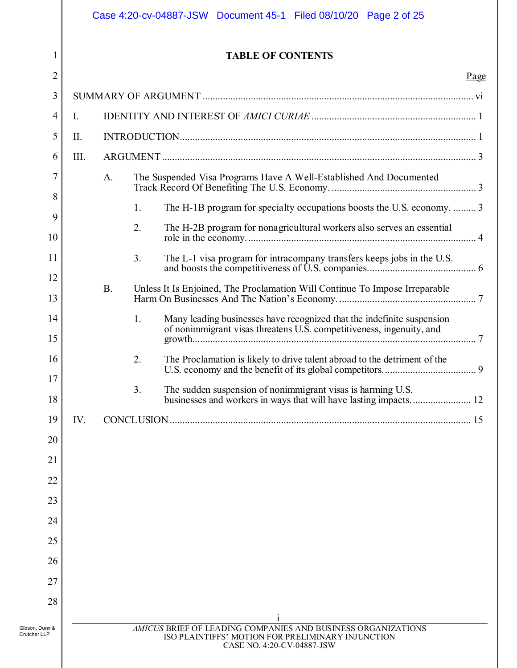|                |      |           |    | Case 4:20-cv-04887-JSW Document 45-1 Filed 08/10/20 Page 2 of 25                                                                               |      |
|----------------|------|-----------|----|------------------------------------------------------------------------------------------------------------------------------------------------|------|
| 1              |      |           |    | <b>TABLE OF CONTENTS</b>                                                                                                                       |      |
| $\overline{2}$ |      |           |    |                                                                                                                                                | Page |
| 3              |      |           |    |                                                                                                                                                |      |
| 4              | I.   |           |    |                                                                                                                                                |      |
| 5              | П.   |           |    |                                                                                                                                                |      |
| 6              | III. |           |    |                                                                                                                                                |      |
| 7              |      | A.        |    | The Suspended Visa Programs Have A Well-Established And Documented                                                                             |      |
| 8<br>9         |      |           | 1. | The H-1B program for specialty occupations boosts the U.S. economy.  3                                                                         |      |
| 10             |      |           | 2. | The H-2B program for nonagricultural workers also serves an essential                                                                          |      |
| 11             |      |           | 3. | The L-1 visa program for intracompany transfers keeps jobs in the U.S.                                                                         |      |
| 12<br>13       |      | <b>B.</b> |    | Unless It Is Enjoined, The Proclamation Will Continue To Impose Irreparable                                                                    |      |
| 14<br>15       |      |           | 1. | Many leading businesses have recognized that the indefinite suspension<br>of nonimmigrant visas threatens U.S. competitiveness, ingenuity, and |      |
| 16             |      |           | 2. |                                                                                                                                                |      |
| 17             |      |           |    | The Proclamation is likely to drive talent abroad to the detriment of the                                                                      |      |
| 18             |      |           | 3. | The sudden suspension of nonimmigrant visas is harming U.S.<br>businesses and workers in ways that will have lasting impacts 12                |      |
| 19             | IV.  |           |    |                                                                                                                                                |      |
| 20             |      |           |    |                                                                                                                                                |      |
| 21             |      |           |    |                                                                                                                                                |      |
| 22             |      |           |    |                                                                                                                                                |      |
| 23             |      |           |    |                                                                                                                                                |      |
| 24             |      |           |    |                                                                                                                                                |      |
| 25             |      |           |    |                                                                                                                                                |      |
| 26             |      |           |    |                                                                                                                                                |      |
| 27<br>28       |      |           |    |                                                                                                                                                |      |
| Gibson, Dunn & |      |           |    | AMICUS BRIEF OF LEADING COMPANIES AND BUSINESS ORGANIZATIONS                                                                                   |      |
| Crutcher LLP   |      |           |    | ISO PLAINTIFFS' MOTION FOR PRELIMINARY INJUNCTION<br>CASE NO. 4:20-CV-04887-JSW                                                                |      |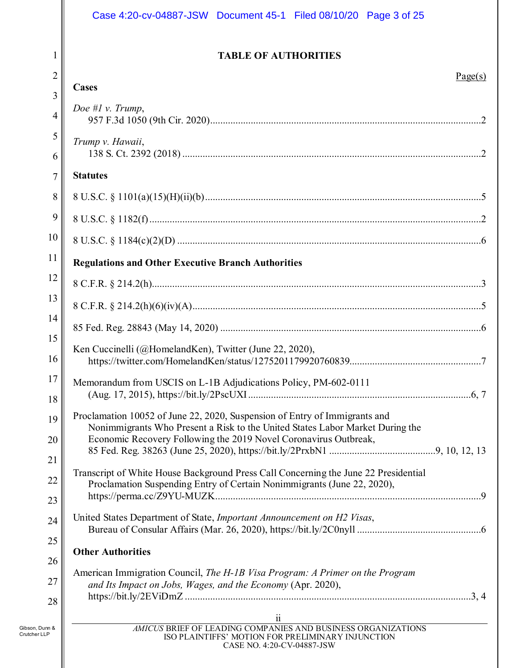|                                | Case 4:20-cv-04887-JSW Document 45-1 Filed 08/10/20 Page 3 of 25                                                                                            |
|--------------------------------|-------------------------------------------------------------------------------------------------------------------------------------------------------------|
| 1                              | <b>TABLE OF AUTHORITIES</b>                                                                                                                                 |
| $\overline{2}$                 | Page(s)                                                                                                                                                     |
| 3                              | <b>Cases</b>                                                                                                                                                |
| 4                              | Doe #1 v. Trump,                                                                                                                                            |
| 5                              | Trump v. Hawaii,                                                                                                                                            |
| 6                              |                                                                                                                                                             |
| 7                              | <b>Statutes</b>                                                                                                                                             |
| 8                              |                                                                                                                                                             |
| 9                              |                                                                                                                                                             |
| 10                             |                                                                                                                                                             |
| 11                             | <b>Regulations and Other Executive Branch Authorities</b>                                                                                                   |
| 12                             |                                                                                                                                                             |
| 13                             |                                                                                                                                                             |
| 14                             |                                                                                                                                                             |
| 15                             | Ken Cuccinelli (@HomelandKen), Twitter (June 22, 2020),                                                                                                     |
| 16                             |                                                                                                                                                             |
| 17                             | Memorandum from USCIS on L-1B Adjudications Policy, PM-602-0111                                                                                             |
| 18                             |                                                                                                                                                             |
| 19                             | Proclamation 10052 of June 22, 2020, Suspension of Entry of Immigrants and<br>Nonimmigrants Who Present a Risk to the United States Labor Market During the |
| 20                             | Economic Recovery Following the 2019 Novel Coronavirus Outbreak,                                                                                            |
| 21                             | Transcript of White House Background Press Call Concerning the June 22 Presidential                                                                         |
| 22                             | Proclamation Suspending Entry of Certain Nonimmigrants (June 22, 2020),                                                                                     |
| 23                             | United States Department of State, Important Announcement on H2 Visas,                                                                                      |
| 24                             |                                                                                                                                                             |
| 25                             | <b>Other Authorities</b>                                                                                                                                    |
| 26                             | American Immigration Council, The H-1B Visa Program: A Primer on the Program                                                                                |
| 27                             | and Its Impact on Jobs, Wages, and the Economy (Apr. 2020),                                                                                                 |
| 28                             | $\ddot{\mathbf{i}}$                                                                                                                                         |
| Gibson, Dunn &<br>Crutcher LLP | AMICUS BRIEF OF LEADING COMPANIES AND BUSINESS ORGANIZATIONS<br>ISO PLAINTIFFS' MOTION FOR PRELIMINARY INJUNCTION<br>CASE NO. 4:20-CV-04887-JSW             |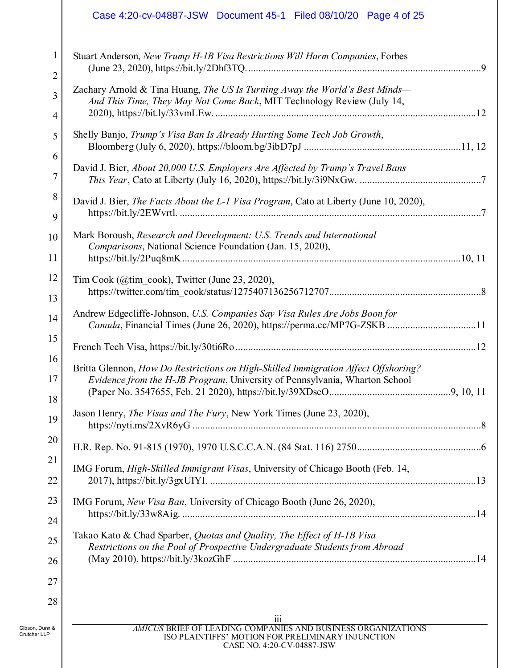# Case 4:20-cv-04887-JSW Document 45-1 Filed 08/10/20 Page 4 of 25

| 1                              | Stuart Anderson, New Trump H-1B Visa Restrictions Will Harm Companies, Forbes                                                                                    |  |
|--------------------------------|------------------------------------------------------------------------------------------------------------------------------------------------------------------|--|
| $\overline{2}$                 |                                                                                                                                                                  |  |
| 3                              | Zachary Arnold & Tina Huang, The US Is Turning Away the World's Best Minds-<br>And This Time, They May Not Come Back, MIT Technology Review (July 14,            |  |
| 4                              |                                                                                                                                                                  |  |
| 5                              | Shelly Banjo, Trump's Visa Ban Is Already Hurting Some Tech Job Growth,                                                                                          |  |
| 6                              |                                                                                                                                                                  |  |
| 7                              | David J. Bier, About 20,000 U.S. Employers Are Affected by Trump's Travel Bans                                                                                   |  |
| 8                              | David J. Bier, The Facts About the L-1 Visa Program, Cato at Liberty (June 10, 2020),                                                                            |  |
| 9                              |                                                                                                                                                                  |  |
| 10                             | Mark Boroush, Research and Development: U.S. Trends and International<br>Comparisons, National Science Foundation (Jan. 15, 2020),                               |  |
| 11                             |                                                                                                                                                                  |  |
| 12                             | Tim Cook (@tim_cook), Twitter (June 23, 2020),                                                                                                                   |  |
| 13                             |                                                                                                                                                                  |  |
| 14                             | Andrew Edgecliffe-Johnson, U.S. Companies Say Visa Rules Are Jobs Boon for<br>Canada, Financial Times (June 26, 2020), https://perma.cc/MP7G-ZSKB 11             |  |
| 15                             |                                                                                                                                                                  |  |
| 16                             |                                                                                                                                                                  |  |
| 17                             | Britta Glennon, How Do Restrictions on High-Skilled Immigration Affect Offshoring?<br>Evidence from the H-JB Program, University of Pennsylvania, Wharton School |  |
| 18                             |                                                                                                                                                                  |  |
| 19                             | Jason Henry, The Visas and The Fury, New York Times (June 23, 2020),                                                                                             |  |
| 20                             |                                                                                                                                                                  |  |
| 21                             | IMG Forum, High-Skilled Immigrant Visas, University of Chicago Booth (Feb. 14,                                                                                   |  |
| 22                             |                                                                                                                                                                  |  |
| 23                             | IMG Forum, New Visa Ban, University of Chicago Booth (June 26, 2020),                                                                                            |  |
| 24                             |                                                                                                                                                                  |  |
| 25                             | Takao Kato & Chad Sparber, Quotas and Quality, The Effect of H-1B Visa<br>Restrictions on the Pool of Prospective Undergraduate Students from Abroad             |  |
| 26                             |                                                                                                                                                                  |  |
| 27                             |                                                                                                                                                                  |  |
| 28                             |                                                                                                                                                                  |  |
|                                | $\overline{\text{iii}}$                                                                                                                                          |  |
| Gibson, Dunn &<br>Crutcher LLP | AMICUS BRIEF OF LEADING COMPANIES AND BUSINESS ORGANIZATIONS<br>ISO PLAINTIFFS' MOTION FOR PRELIMINARY INJUNCTION                                                |  |

CASE NO. 4:20-CV-04887-JSW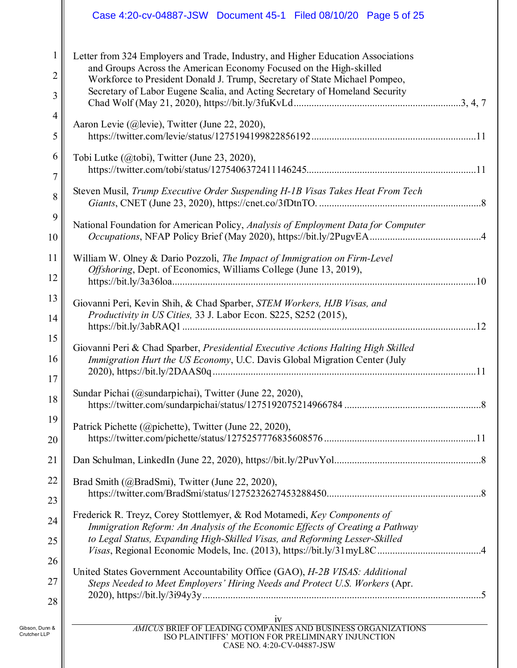# Case 4:20-cv-04887-JSW Document 45-1 Filed 08/10/20 Page 5 of 25

| 1                              | Letter from 324 Employers and Trade, Industry, and Higher Education Associations                                                                               |
|--------------------------------|----------------------------------------------------------------------------------------------------------------------------------------------------------------|
| $\overline{2}$                 | and Groups Across the American Economy Focused on the High-skilled<br>Workforce to President Donald J. Trump, Secretary of State Michael Pompeo,               |
| 3                              | Secretary of Labor Eugene Scalia, and Acting Secretary of Homeland Security                                                                                    |
| 4                              |                                                                                                                                                                |
| 5                              | Aaron Levie (@levie), Twitter (June 22, 2020),                                                                                                                 |
| 6                              | Tobi Lutke (@tobi), Twitter (June 23, 2020),                                                                                                                   |
| $\overline{7}$                 |                                                                                                                                                                |
| 8                              | Steven Musil, Trump Executive Order Suspending H-1B Visas Takes Heat From Tech                                                                                 |
| 9                              | National Foundation for American Policy, Analysis of Employment Data for Computer                                                                              |
| 10                             |                                                                                                                                                                |
| 11                             | William W. Olney & Dario Pozzoli, The Impact of Immigration on Firm-Level                                                                                      |
| 12                             | Offshoring, Dept. of Economics, Williams College (June 13, 2019),                                                                                              |
| 13                             | Giovanni Peri, Kevin Shih, & Chad Sparber, STEM Workers, HJB Visas, and                                                                                        |
| 14                             | Productivity in US Cities, 33 J. Labor Econ. S225, S252 (2015),                                                                                                |
| 15                             |                                                                                                                                                                |
| 16                             | Giovanni Peri & Chad Sparber, Presidential Executive Actions Halting High Skilled<br>Immigration Hurt the US Economy, U.C. Davis Global Migration Center (July |
| 17                             |                                                                                                                                                                |
| 18                             | Sundar Pichai (@sundarpichai), Twitter (June 22, 2020),                                                                                                        |
| 19                             |                                                                                                                                                                |
| 20                             | Patrick Pichette (@pichette), Twitter (June 22, 2020),                                                                                                         |
|                                |                                                                                                                                                                |
| 21                             |                                                                                                                                                                |
| 22                             | Brad Smith (@BradSmi), Twitter (June 22, 2020),                                                                                                                |
| 23                             | Frederick R. Treyz, Corey Stottlemyer, & Rod Motamedi, Key Components of                                                                                       |
| 24                             | Immigration Reform: An Analysis of the Economic Effects of Creating a Pathway                                                                                  |
| 25                             | to Legal Status, Expanding High-Skilled Visas, and Reforming Lesser-Skilled                                                                                    |
| 26                             |                                                                                                                                                                |
| 27                             | United States Government Accountability Office (GAO), H-2B VISAS: Additional<br>Steps Needed to Meet Employers' Hiring Needs and Protect U.S. Workers (Apr.    |
| 28                             |                                                                                                                                                                |
|                                | $\frac{\text{i}\text{v}}{AMICUS}$ BRIEF OF LEADING COMPANIES AND BUSINESS ORGANIZATIONS                                                                        |
| Gibson, Dunn &<br>Crutcher LLP | ISO PLAINTIFFS' MOTION FOR PRELIMINARY INJUNCTION<br>CASE NO. 4:20-CV-04887-JSW                                                                                |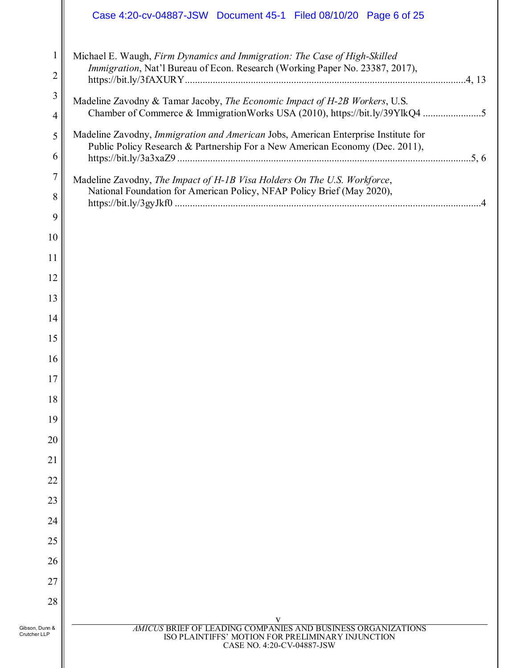# Case 4:20-cv-04887-JSW Document 45-1 Filed 08/10/20 Page 6 of 25

|                                | Michael E. Waugh, Firm Dynamics and Immigration: The Case of High-Skilled                                                                                          |
|--------------------------------|--------------------------------------------------------------------------------------------------------------------------------------------------------------------|
| $\overline{2}$                 | Immigration, Nat'l Bureau of Econ. Research (Working Paper No. 23387, 2017),                                                                                       |
| 3                              | Madeline Zavodny & Tamar Jacoby, The Economic Impact of H-2B Workers, U.S.                                                                                         |
| 4                              | Chamber of Commerce & ImmigrationWorks USA (2010), https://bit.ly/39YlkQ4 5                                                                                        |
| 5                              | Madeline Zavodny, Immigration and American Jobs, American Enterprise Institute for<br>Public Policy Research & Partnership For a New American Economy (Dec. 2011), |
| 6                              |                                                                                                                                                                    |
| 7                              | Madeline Zavodny, The Impact of H-1B Visa Holders On The U.S. Workforce,<br>National Foundation for American Policy, NFAP Policy Brief (May 2020),                 |
| 8                              |                                                                                                                                                                    |
| 9                              |                                                                                                                                                                    |
| 10                             |                                                                                                                                                                    |
| 11                             |                                                                                                                                                                    |
| 12                             |                                                                                                                                                                    |
| 13                             |                                                                                                                                                                    |
| 14                             |                                                                                                                                                                    |
| 15                             |                                                                                                                                                                    |
| 16                             |                                                                                                                                                                    |
| 17                             |                                                                                                                                                                    |
| 18                             |                                                                                                                                                                    |
| 19                             |                                                                                                                                                                    |
| 20<br>21                       |                                                                                                                                                                    |
| 22                             |                                                                                                                                                                    |
| 23                             |                                                                                                                                                                    |
| 24                             |                                                                                                                                                                    |
| 25                             |                                                                                                                                                                    |
| 26                             |                                                                                                                                                                    |
| 27                             |                                                                                                                                                                    |
| 28                             |                                                                                                                                                                    |
|                                | V                                                                                                                                                                  |
| Gibson, Dunn &<br>Crutcher LLP | <b>AMICUS BRIEF OF LEADING COMPANIES AND BUSINESS ORGANIZATIONS</b><br>ISO PLAINTIFFS' MOTION FOR PRELIMINARY INJUNCTION<br>CASE NO. 4:20-CV-04887-JSW             |
|                                |                                                                                                                                                                    |
|                                |                                                                                                                                                                    |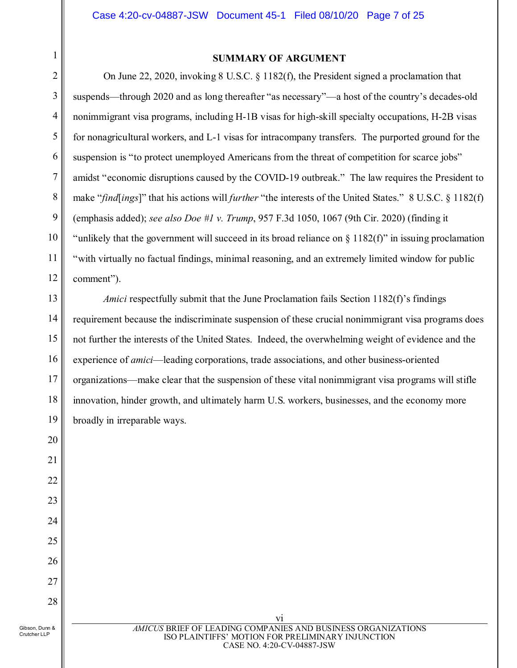<span id="page-6-0"></span>1 2

#### **SUMMARY OF ARGUMENT**

3 4 5 6 7 8 9 10 11 12 On June 22, 2020, invoking 8 U.S.C. § 1182(f), the President signed a proclamation that suspends—through 2020 and as long thereafter "as necessary"—a host of the country's decades-old nonimmigrant visa programs, including H-1B visas for high-skill specialty occupations, H-2B visas for nonagricultural workers, and L-1 visas for intracompany transfers. The purported ground for the suspension is "to protect unemployed Americans from the threat of competition for scarce jobs" amidst "economic disruptions caused by the COVID-19 outbreak." The law requires the President to make "*find*[*ings*]" that his actions will *further* "the interests of the United States." 8 U.S.C. § 1182(f) (emphasis added); *see also Doe #1 v. Trump*, 957 F.3d 1050, 1067 (9th Cir. 2020) (finding it "unlikely that the government will succeed in its broad reliance on  $\S$  1182(f)" in issuing proclamation "with virtually no factual findings, minimal reasoning, and an extremely limited window for public comment").

13 14 15 16 17 18 19 *Amici* respectfully submit that the June Proclamation fails Section 1182(f)'s findings requirement because the indiscriminate suspension of these crucial nonimmigrant visa programs does not further the interests of the United States. Indeed, the overwhelming weight of evidence and the experience of *amici*—leading corporations, trade associations, and other business-oriented organizations—make clear that the suspension of these vital nonimmigrant visa programs will stifle innovation, hinder growth, and ultimately harm U.S. workers, businesses, and the economy more broadly in irreparable ways.

20

21

22

23

24

25

26

27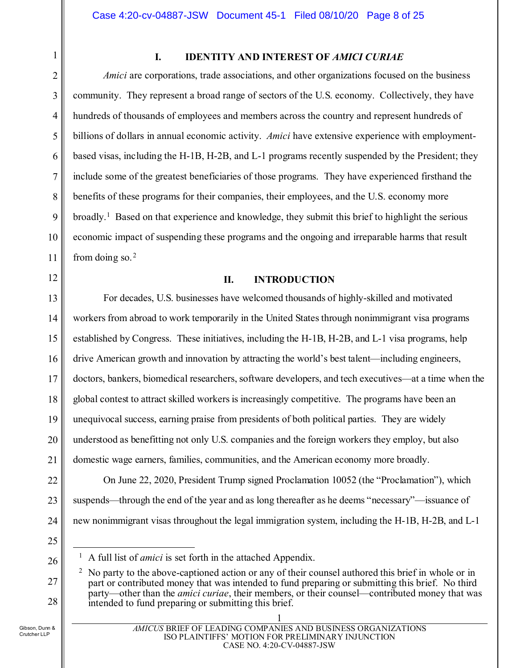<span id="page-7-0"></span>1 2

3

4

5

6

7

8

9

10

<span id="page-7-1"></span>11

12

### **I. IDENTITY AND INTEREST OF** *AMICI CURIAE*

*Amici* are corporations, trade associations, and other organizations focused on the business community. They represent a broad range of sectors of the U.S. economy. Collectively, they have hundreds of thousands of employees and members across the country and represent hundreds of billions of dollars in annual economic activity. *Amici* have extensive experience with employmentbased visas, including the H-1B, H-2B, and L-1 programs recently suspended by the President; they include some of the greatest beneficiaries of those programs. They have experienced firsthand the benefits of these programs for their companies, their employees, and the U.S. economy more broadly.[1](#page-7-2) Based on that experience and knowledge, they submit this brief to highlight the serious economic impact of suspending these programs and the ongoing and irreparable harms that result from doing so. [2](#page-7-3)

## **II. INTRODUCTION**

13 14 15 16 17 18 19 20 21 For decades, U.S. businesses have welcomed thousands of highly-skilled and motivated workers from abroad to work temporarily in the United States through nonimmigrant visa programs established by Congress. These initiatives, including the H-1B, H-2B, and L-1 visa programs, help drive American growth and innovation by attracting the world's best talent—including engineers, doctors, bankers, biomedical researchers, software developers, and tech executives—at a time when the global contest to attract skilled workers is increasingly competitive. The programs have been an unequivocal success, earning praise from presidents of both political parties. They are widely understood as benefitting not only U.S. companies and the foreign workers they employ, but also domestic wage earners, families, communities, and the American economy more broadly.

22 23 24 On June 22, 2020, President Trump signed Proclamation 10052 (the "Proclamation"), which suspends—through the end of the year and as long thereafter as he deems "necessary"—issuance of new nonimmigrant visas throughout the legal immigration system, including the H-1B, H-2B, and L-1

25

<span id="page-7-2"></span>26

<span id="page-7-3"></span>27

<sup>&</sup>lt;sup>1</sup> A full list of *amici* is set forth in the attached Appendix.

<sup>&</sup>lt;sup>2</sup> No party to the above-captioned action or any of their counsel authored this brief in whole or in part or contributed money that was intended to fund preparing or submitting this brief. No third party—other than the *amici curiae*, their members, or their counsel—contributed money that was intended to fund preparing or submitting this brief.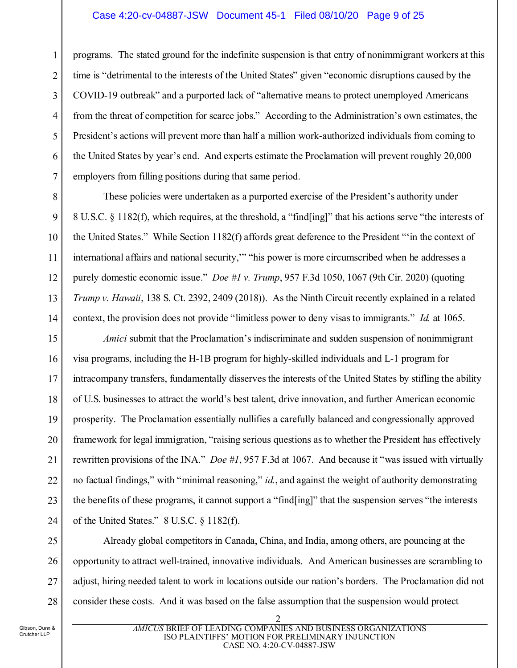#### Case 4:20-cv-04887-JSW Document 45-1 Filed 08/10/20 Page 9 of 25

programs. The stated ground for the indefinite suspension is that entry of nonimmigrant workers at this time is "detrimental to the interests of the United States" given "economic disruptions caused by the COVID-19 outbreak" and a purported lack of "alternative means to protect unemployed Americans from the threat of competition for scarce jobs." According to the Administration's own estimates, the President's actions will prevent more than half a million work-authorized individuals from coming to the United States by year's end. And experts estimate the Proclamation will prevent roughly 20,000 employers from filling positions during that same period.

These policies were undertaken as a purported exercise of the President's authority under 8 U.S.C. § 1182(f), which requires, at the threshold, a "find[ing]" that his actions serve "the interests of the United States." While Section 1182(f) affords great deference to the President "'in the context of international affairs and national security,'" "his power is more circumscribed when he addresses a purely domestic economic issue." *Doe #1 v. Trump*, 957 F.3d 1050, 1067 (9th Cir. 2020) (quoting *Trump v. Hawaii*, 138 S. Ct. 2392, 2409 (2018)). As the Ninth Circuit recently explained in a related context, the provision does not provide "limitless power to deny visas to immigrants." *Id.* at 1065.

15 16 17 18 19 20 21 22 23 24 *Amici* submit that the Proclamation's indiscriminate and sudden suspension of nonimmigrant visa programs, including the H-1B program for highly-skilled individuals and L-1 program for intracompany transfers, fundamentally disserves the interests of the United States by stifling the ability of U.S. businesses to attract the world's best talent, drive innovation, and further American economic prosperity. The Proclamation essentially nullifies a carefully balanced and congressionally approved framework for legal immigration, "raising serious questions as to whether the President has effectively rewritten provisions of the INA." *Doe #1*, 957 F.3d at 1067. And because it "was issued with virtually no factual findings," with "minimal reasoning," *id.*, and against the weight of authority demonstrating the benefits of these programs, it cannot support a "find[ing]" that the suspension serves "the interests of the United States." 8 U.S.C. § 1182(f).

25 26 27 28 Already global competitors in Canada, China, and India, among others, are pouncing at the opportunity to attract well-trained, innovative individuals. And American businesses are scrambling to adjust, hiring needed talent to work in locations outside our nation's borders. The Proclamation did not consider these costs. And it was based on the false assumption that the suspension would protect

1

2

3

4

5

6

7

8

9

10

11

<span id="page-8-0"></span>12

<span id="page-8-1"></span>13

14

<span id="page-8-2"></span>*AMICUS* BRIEF OF LEADING COMPANIES AND BUSINESS ORGANIZATIONS ISO PLAINTIFFS' MOTION FOR PRELIMINARY INJUNCTION CASE NO. 4:20-CV-04887-JSW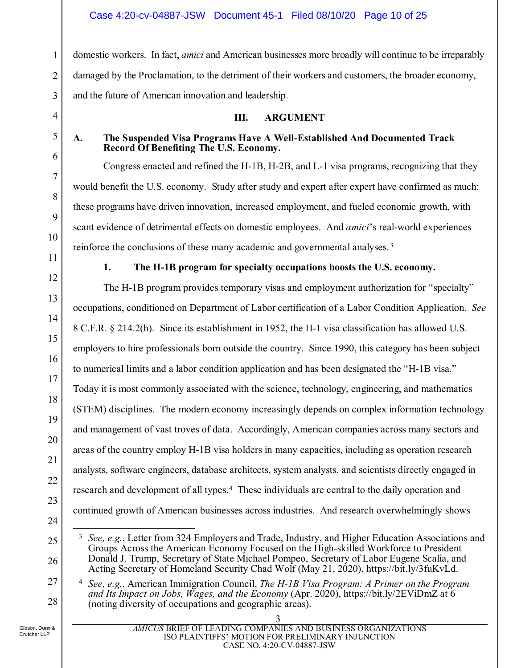domestic workers. In fact, *amici* and American businesses more broadly will continue to be irreparably damaged by the Proclamation, to the detriment of their workers and customers, the broader economy, and the future of American innovation and leadership.

### **III. ARGUMENT**

## <span id="page-9-1"></span><span id="page-9-0"></span>**A. The Suspended Visa Programs Have A Well-Established And Documented Track Record Of Benefiting The U.S. Economy.**

Congress enacted and refined the H-1B, H-2B, and L-1 visa programs, recognizing that they would benefit the U.S. economy. Study after study and expert after expert have confirmed as much: these programs have driven innovation, increased employment, and fueled economic growth, with scant evidence of detrimental effects on domestic employees. And *amici*'s real-world experiences reinforce the conclusions of these many academic and governmental analyses. [3](#page-9-6)

# **1. The H-1B program for specialty occupations boosts the U.S. economy.**

<span id="page-9-3"></span><span id="page-9-2"></span>The H-1B program provides temporary visas and employment authorization for "specialty" occupations, conditioned on Department of Labor certification of a Labor Condition Application. *See*  8 C.F.R. § 214.2(h). Since its establishment in 1952, the H-1 visa classification has allowed U.S. employers to hire professionals born outside the country. Since 1990, this category has been subject to numerical limits and a labor condition application and has been designated the "H-1B visa." Today it is most commonly associated with the science, technology, engineering, and mathematics (STEM) disciplines. The modern economy increasingly depends on complex information technology and management of vast troves of data. Accordingly, American companies across many sectors and areas of the country employ H-1B visa holders in many capacities, including as operation research analysts, software engineers, database architects, system analysts, and scientists directly engaged in research and development of all types.<sup>4</sup> These individuals are central to the daily operation and continued growth of American businesses across industries. And research overwhelmingly shows

<sup>4</sup> *See, e.g.*, American Immigration Council, *The H-1B Visa Program: A Primer on the Program and Its Impact on Jobs, Wages, and the Economy* (Apr. 2020),<https://bit.ly/2EViDmZ> at 6 (noting diversity of occupations and geographic areas).

<span id="page-9-7"></span>28

<span id="page-9-6"></span><span id="page-9-5"></span> <sup>3</sup> *See, e.g.*, Letter from 324 Employers and Trade, Industry, and Higher Education Associations and Groups Across the American Economy Focused on the High-skilled Workforce to President Donald J. Trump, Secretary of State Michael Pompeo, Secretary of Labor Eugene Scalia, and Acting Secretary of Homeland Security Chad Wolf (May 21, 2020), [https://bit.ly/3fuKvLd.](https://bit.ly/3fuKvLd)

<span id="page-9-4"></span><sup>3</sup> *AMICUS* BRIEF OF LEADING COMPANIES AND BUSINESS ORGANIZATIONS ISO PLAINTIFFS' MOTION FOR PRELIMINARY INJUNCTION CASE NO. 4:20-CV-04887-JSW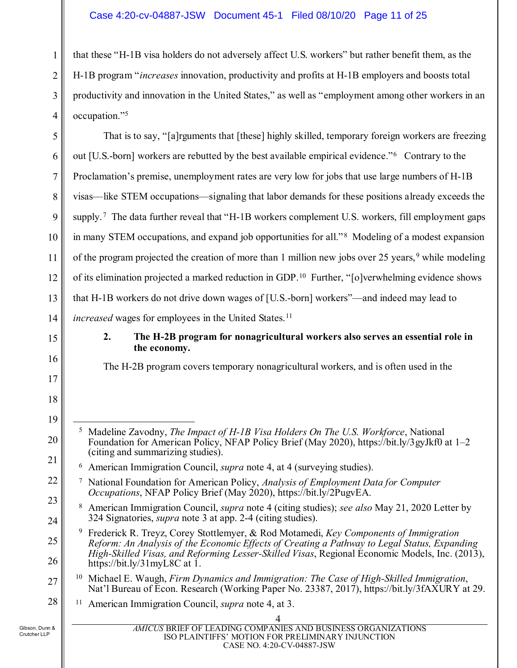### Case 4:20-cv-04887-JSW Document 45-1 Filed 08/10/20 Page 11 of 25

that these "H-1B visa holders do not adversely affect U.S. workers" but rather benefit them, as the H-1B program "*increases* innovation, productivity and profits at H-1B employers and boosts total productivity and innovation in the United States," as well as "employment among other workers in an occupation."[5](#page-10-7)

That is to say, "[a]rguments that [these] highly skilled, temporary foreign workers are freezing out [U.S.-born] workers are rebutted by the best available empirical evidence."[6](#page-10-8) Contrary to the Proclamation's premise, unemployment rates are very low for jobs that use large numbers of H-1B visas—like STEM occupations—signaling that labor demands for these positions already exceeds the supply.<sup>[7](#page-10-9)</sup> The data further reveal that "H-1B workers complement U.S. workers, fill employment gaps in many STEM occupations, and expand job opportunities for all."<sup>8</sup> Modeling of a modest expansion of the program projected the creation of more than 1 million new jobs over 25 years,<sup>[9](#page-10-11)</sup> while modeling of its elimination projected a marked reduction in GDP.[10](#page-10-12) Further, "[o]verwhelming evidence shows that H-1B workers do not drive down wages of [U.S.-born] workers"—and indeed may lead to *increased* wages for employees in the United States.<sup>11</sup>

# <span id="page-10-0"></span>15

1

2

3

4

5

6

7

8

9

10

11

12

13

14

16

17

18

19

<span id="page-10-7"></span>20

<span id="page-10-8"></span>21

<span id="page-10-10"></span>24

<span id="page-10-11"></span>25

26

<span id="page-10-13"></span>28

### **2. The H-2B program for nonagricultural workers also serves an essential role in the economy.**

The H-2B program covers temporary nonagricultural workers, and is often used in the

- <sup>8</sup> American Immigration Council, *supra* note 4 (citing studies); *see also* May 21, 2020 Letter by 324 Signatories, *supra* note 3 at app. 2-4 (citing studies).
- <span id="page-10-4"></span><sup>9</sup> Frederick R. Treyz, Corey Stottlemyer, & Rod Motamedi, *Key Components of Immigration Reform: An Analysis of the Economic Effects of Creating a Pathway to Legal Status, Expanding High-Skilled Visas, and Reforming Lesser-Skilled Visas*, Regional Economic Models, Inc. (2013), <https://bit.ly/31myL8C> at 1.

#### <span id="page-10-12"></span>27 <sup>10</sup> Michael E. Waugh, *Firm Dynamics and Immigration: The Case of High-Skilled Immigration*, Nat'l Bureau of Econ. Research (Working Paper No. 23387, 2017), [https://bit.ly/3fAXURY at 29.](https://bit.ly/3fAXURY%20at%2029.)

<span id="page-10-5"></span><sup>11</sup> American Immigration Council, *supra* note 4, at 3.

<span id="page-10-2"></span>

<span id="page-10-6"></span> <sup>5</sup> Madeline Zavodny, *The Impact of H-1B Visa Holders On The U.S. Workforce*, National Foundation for American Policy, NFAP Policy Brief (May 2020),<https://bit.ly/3gyJkf0> at 1–2 (citing and summarizing studies).

<span id="page-10-3"></span><span id="page-10-1"></span><sup>6</sup> American Immigration Council, *supra* note 4, at 4 (surveying studies).

<span id="page-10-9"></span><sup>22</sup> 23 <sup>7</sup> National Foundation for American Policy, *Analysis of Employment Data for Computer Occupations*, NFAP Policy Brief (May 2020), [https://bit.ly/2PugvEA.](https://bit.ly/2PugvEA)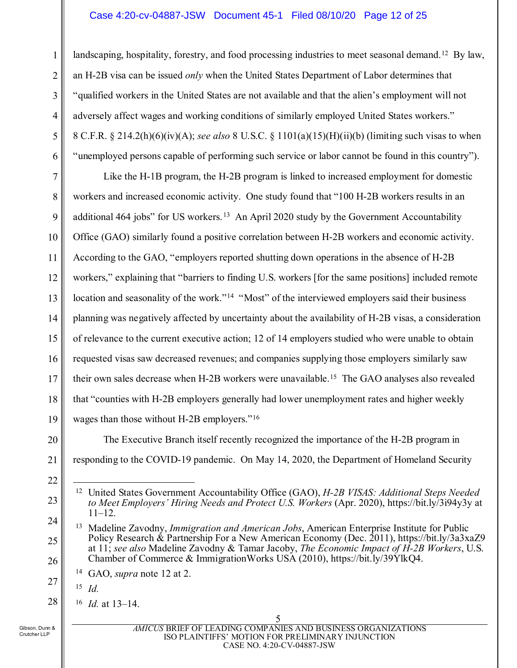#### Case 4:20-cv-04887-JSW Document 45-1 Filed 08/10/20 Page 12 of 25

landscaping, hospitality, forestry, and food processing industries to meet seasonal demand.<sup>[12](#page-11-5)</sup> By law, an H-2B visa can be issued *only* when the United States Department of Labor determines that "qualified workers in the United States are not available and that the alien's employment will not adversely affect wages and working conditions of similarly employed United States workers." 8 C.F.R. § 214.2(h)(6)(iv)(A); *see also* 8 U.S.C. § 1101(a)(15)(H)(ii)(b) (limiting such visas to when "unemployed persons capable of performing such service or labor cannot be found in this country").

7 8 9 10 11 12 13 14 15 16 17 18 19 Like the H-1B program, the H-2B program is linked to increased employment for domestic workers and increased economic activity. One study found that "100 H-2B workers results in an additional 464 jobs" for US workers.<sup>[13](#page-11-6)</sup> An April 2020 study by the Government Accountability Office (GAO) similarly found a positive correlation between H-2B workers and economic activity. According to the GAO, "employers reported shutting down operations in the absence of H-2B workers," explaining that "barriers to finding U.S. workers [for the same positions] included remote location and seasonality of the work."<sup>[14](#page-11-7)</sup> "Most" of the interviewed employers said their business planning was negatively affected by uncertainty about the availability of H-2B visas, a consideration of relevance to the current executive action; 12 of 14 employers studied who were unable to obtain requested visas saw decreased revenues; and companies supplying those employers similarly saw their own sales decrease when H-2B workers were unavailable.<sup>[15](#page-11-8)</sup> The GAO analyses also revealed that "counties with H-2B employers generally had lower unemployment rates and higher weekly wages than those without H-2B employers."[16](#page-11-9)

20

21

22

<span id="page-11-5"></span>23

<span id="page-11-8"></span><span id="page-11-7"></span>27

<span id="page-11-9"></span>28

1

2

3

4

<span id="page-11-1"></span><span id="page-11-0"></span>5

6

The Executive Branch itself recently recognized the importance of the H-2B program in responding to the COVID-19 pandemic. On May 14, 2020, the Department of Homeland Security

<sup>15</sup> *Id.*

<span id="page-11-3"></span>5 *AMICUS* BRIEF OF LEADING COMPANIES AND BUSINESS ORGANIZATIONS ISO PLAINTIFFS' MOTION FOR PRELIMINARY INJUNCTION CASE NO. 4:20-CV-04887-JSW

<span id="page-11-2"></span> <sup>12</sup> United States Government Accountability Office (GAO), *H-2B VISAS: Additional Steps Needed to Meet Employers' Hiring Needs and Protect U.S. Workers* (Apr. 2020),<https://bit.ly/3i94y3y> at 11–12.

<span id="page-11-6"></span><span id="page-11-4"></span><sup>24</sup> 25 26 <sup>13</sup> Madeline Zavodny, *Immigration and American Jobs*, American Enterprise Institute for Public Policy Research & Partnership For a New American Economy (Dec. 2011), https://bit.ly/3a3xaZ9 at 11; *see also* Madeline Zavodny & Tamar Jacoby, *The Economic Impact of H-2B Workers*, U.S. Chamber of Commerce & ImmigrationWorks USA (2010), https://bit.ly/39YlkQ4.

<sup>14</sup> GAO, *supra* note 12 at 2.

<sup>16</sup> *Id.* at 13–14.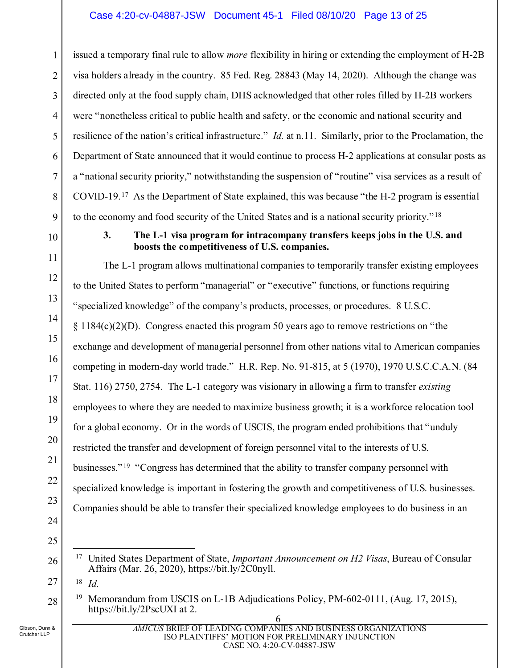<span id="page-12-2"></span>issued a temporary final rule to allow *more* flexibility in hiring or extending the employment of H-2B visa holders already in the country. 85 Fed. Reg. 28843 (May 14, 2020). Although the change was directed only at the food supply chain, DHS acknowledged that other roles filled by H-2B workers were "nonetheless critical to public health and safety, or the economic and national security and resilience of the nation's critical infrastructure." *Id.* at n.11. Similarly, prior to the Proclamation, the Department of State announced that it would continue to process H-2 applications at consular posts as a "national security priority," notwithstanding the suspension of "routine" visa services as a result of COVID-19. [17](#page-12-7) As the Department of State explained, this was because "the H-2 program is essential to the economy and food security of the United States and is a national security priority." [18](#page-12-8)

<span id="page-12-0"></span>

1

2

3

#### <span id="page-12-6"></span><span id="page-12-5"></span><span id="page-12-1"></span>**3. The L-1 visa program for intracompany transfers keeps jobs in the U.S. and boosts the competitiveness of U.S. companies.**

The L-1 program allows multinational companies to temporarily transfer existing employees to the United States to perform "managerial" or "executive" functions, or functions requiring "specialized knowledge" of the company's products, processes, or procedures. 8 U.S.C.  $\S 1184(c)(2)(D)$ . Congress enacted this program 50 years ago to remove restrictions on "the exchange and development of managerial personnel from other nations vital to American companies competing in modern-day world trade." H.R. Rep. No. 91-815, at 5 (1970), 1970 U.S.C.C.A.N. (84 Stat. 116) 2750, 2754. The L-1 category was visionary in allowing a firm to transfer *existing* employees to where they are needed to maximize business growth; it is a workforce relocation tool for a global economy. Or in the words of USCIS, the program ended prohibitions that "unduly restricted the transfer and development of foreign personnel vital to the interests of U.S. businesses." [19](#page-12-9) "Congress has determined that the ability to transfer company personnel with specialized knowledge is important in fostering the growth and competitiveness of U.S. businesses. Companies should be able to transfer their specialized knowledge employees to do business in an

<span id="page-12-7"></span>17 United States Department of State, *Important Announcement on H2 Visas*, Bureau of Consular

<span id="page-12-4"></span><span id="page-12-3"></span>Affairs (Mar. 26, 2020), https://bit.ly/2C0nyll.

- <span id="page-12-8"></span><sup>18</sup> *Id.*
- <span id="page-12-9"></span><sup>19</sup> Memorandum from USCIS on L-1B Adjudications Policy, PM-602-0111, (Aug. 17, 2015), https://bit.ly/2PscUXI at 2.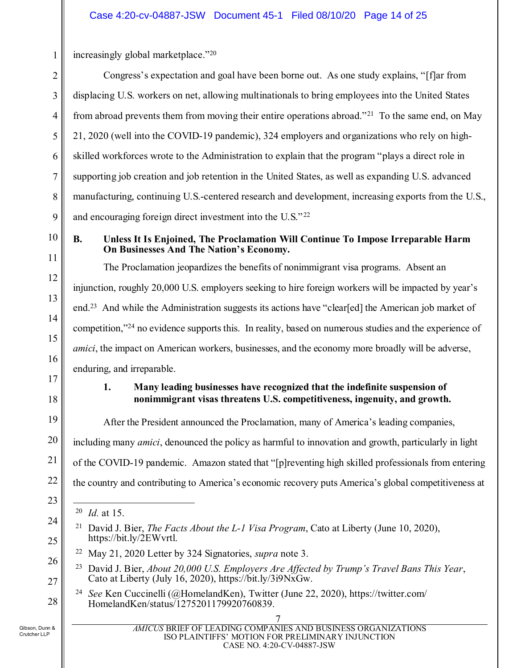increasingly global marketplace.["20](#page-13-7)

| Congress's expectation and goal have been borne out. As one study explains, "[f] ar from                     |
|--------------------------------------------------------------------------------------------------------------|
| displacing U.S. workers on net, allowing multinationals to bring employees into the United States            |
| from abroad prevents them from moving their entire operations abroad." <sup>21</sup> To the same end, on May |
| 21, 2020 (well into the COVID-19 pandemic), 324 employers and organizations who rely on high-                |
| skilled workforces wrote to the Administration to explain that the program "plays a direct role in           |
| supporting job creation and job retention in the United States, as well as expanding U.S. advanced           |
| manufacturing, continuing U.S.-centered research and development, increasing exports from the U.S.,          |
| and encouraging foreign direct investment into the U.S."22                                                   |

10

11

12

13

14

15

16

<span id="page-13-1"></span>17

19

20

21

22

23

<span id="page-13-8"></span><span id="page-13-7"></span>24

25

<span id="page-13-10"></span><span id="page-13-9"></span>26

27

<span id="page-13-11"></span>28

1

2

3

4

5

6

7

8

9

#### <span id="page-13-0"></span>**B. Unless It Is Enjoined, The Proclamation Will Continue To Impose Irreparable Harm On Businesses And The Nation's Economy.**

The Proclamation jeopardizes the benefits of nonimmigrant visa programs. Absent an injunction, roughly 20,000 U.S. employers seeking to hire foreign workers will be impacted by year's end.<sup>23</sup> And while the Administration suggests its actions have "clear[ed] the American job market of competition,"<sup>[24](#page-13-11)</sup> no evidence supports this. In reality, based on numerous studies and the experience of *amici*, the impact on American workers, businesses, and the economy more broadly will be adverse, enduring, and irreparable.

18

# **1. Many leading businesses have recognized that the indefinite suspension of nonimmigrant visas threatens U.S. competitiveness, ingenuity, and growth.**

After the President announced the Proclamation, many of America's leading companies, including many *amici*, denounced the policy as harmful to innovation and growth, particularly in light of the COVID-19 pandemic. Amazon stated that "[p]reventing high skilled professionals from entering the country and contributing to America's economic recovery puts America's global competitiveness at

<span id="page-13-4"></span><sup>23</sup> David J. Bier, *About 20,000 U.S. Employers Are Affected by Trump's Travel Bans This Year*, Cato at Liberty (July 16, 2020), [https://bit.ly/3i9NxGw.](https://bit.ly/3i9NxGw)

<span id="page-13-2"></span><sup>24</sup> *See* Ken Cuccinelli (@HomelandKen), Twitter (June 22, 2020), [https://twitter.com/](https://twitter.com/HomelandKen) [HomelandKen/](https://twitter.com/HomelandKen)status/1275201179920760839.

<span id="page-13-5"></span><span id="page-13-3"></span> <sup>20</sup> *Id.* at 15.

<sup>21</sup> David J. Bier, *The Facts About the L-1 Visa Program*, Cato at Liberty (June 10, 2020), https://bit.ly/2EWvrtl.

<span id="page-13-6"></span><sup>22</sup> May 21, 2020 Letter by 324 Signatories, *supra* note 3.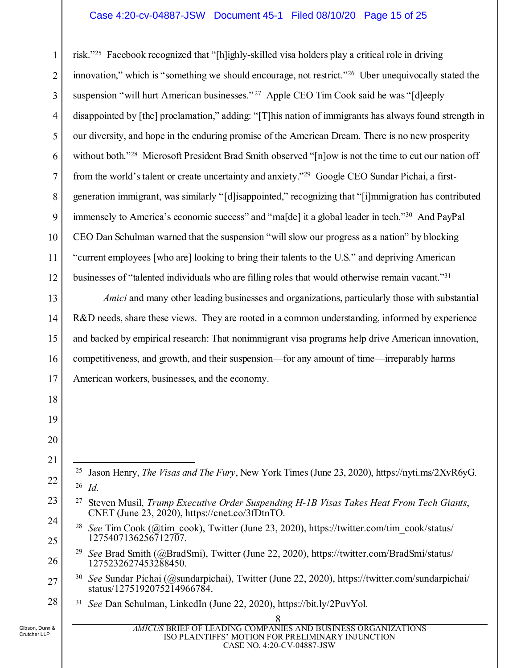#### Case 4:20-cv-04887-JSW Document 45-1 Filed 08/10/20 Page 15 of 25

1 2 3 4 5 6 7 8 9 10 11 12 risk.["25](#page-14-6) Facebook recognized that "[h]ighly-skilled visa holders play a critical role in driving innovation," which is "something we should encourage, not restrict."[26](#page-14-7) Uber unequivocally stated the suspension "will hurt American businesses."<sup>[27](#page-14-8)</sup> Apple CEO Tim Cook said he was "[d]eeply disappointed by [the] proclamation," adding: "[T]his nation of immigrants has always found strength in our diversity, and hope in the enduring promise of the American Dream. There is no new prosperity without both."<sup>[28](#page-14-9)</sup> Microsoft President Brad Smith observed "[n]ow is not the time to cut our nation off from the world's talent or create uncertainty and anxiety."[29](#page-14-10) Google CEO Sundar Pichai, a firstgeneration immigrant, was similarly "[d]isappointed," recognizing that "[i]mmigration has contributed immensely to America's economic success" and "ma[de] it a global leader in tech.["30](#page-14-11) And PayPal CEO Dan Schulman warned that the suspension "will slow our progress as a nation" by blocking "current employees [who are] looking to bring their talents to the U.S." and depriving American businesses of "talented individuals who are filling roles that would otherwise remain vacant.["31](#page-14-12)

*Amici* and many other leading businesses and organizations, particularly those with substantial R&D needs, share these views. They are rooted in a common understanding, informed by experience and backed by empirical research: That nonimmigrant visa programs help drive American innovation, competitiveness, and growth, and their suspension—for any amount of time—irreparably harms American workers, businesses, and the economy.

- <span id="page-14-1"></span> 25 Jason Henry, *The Visas and The Fury*, New York Times (June 23, 2020), https://nyti.ms/2XvR6yG*.*  <sup>26</sup> *Id.*
- <span id="page-14-2"></span><span id="page-14-0"></span><sup>27</sup> Steven Musil, *Trump Executive Order Suspending H-1B Visas Takes Heat From Tech Giants*, CNET (June 23, 2020), [https://cnet.co/3fDtnTO.](https://cnet.co/3fDtnTO)
- <span id="page-14-9"></span>24 25 <sup>28</sup> *See* Tim Cook (@tim\_cook), Twitter (June 23, 2020), https://twitter.com/tim\_cook/status/ 1275407136256712707.
	- <sup>29</sup> *See* Brad Smith (@BradSmi), Twitter (June 22, 2020), https://twitter.com/BradSmi/status/ 1275232627453288450.
- <span id="page-14-12"></span><span id="page-14-11"></span><span id="page-14-4"></span><span id="page-14-3"></span>27 <sup>30</sup> *See* Sundar Pichai (@sundarpichai), Twitter (June 22, 2020), https://twitter.com/sundarpichai/ status/1275192075214966784.
	- <sup>31</sup> *See* Dan Schulman, LinkedIn (June 22, 2020), https://bit.ly/2PuvYol.

13

14

15

16

17

18

19

20

21

<span id="page-14-7"></span><span id="page-14-6"></span>22

<span id="page-14-8"></span>23

<span id="page-14-10"></span><span id="page-14-5"></span>26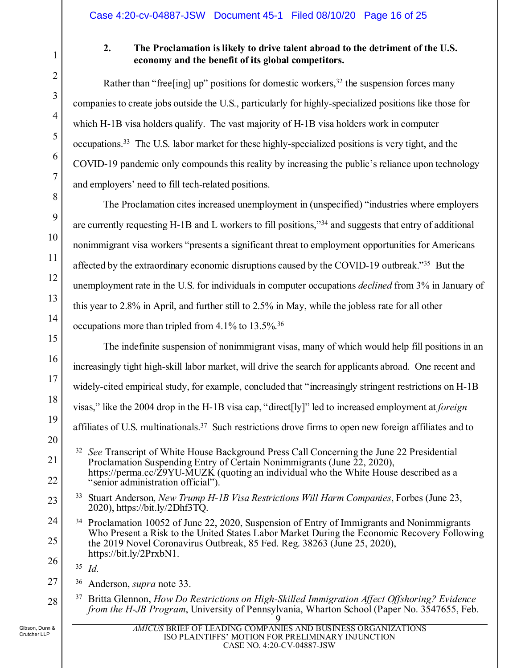<span id="page-15-0"></span>

1

2

3

4

5

6

7

8

9

10

11

12

13

14

15

16

17

18

19

20

<span id="page-15-5"></span>21

22

<span id="page-15-6"></span>23

<span id="page-15-9"></span><span id="page-15-8"></span>27

<span id="page-15-10"></span>28

# **2. The Proclamation is likely to drive talent abroad to the detriment of the U.S. economy and the benefit of its global competitors.**

Rather than "free [ing] up" positions for domestic workers,  $32$  the suspension forces many companies to create jobs outside the U.S., particularly for highly-specialized positions like those for which H-1B visa holders qualify. The vast majority of H-1B visa holders work in computer occupations.[33](#page-15-6) The U.S. labor market for these highly-specialized positions is very tight, and the COVID-19 pandemic only compounds this reality by increasing the public's reliance upon technology and employers' need to fill tech-related positions.

The Proclamation cites increased unemployment in (unspecified) "industries where employers are currently requesting H-1B and L workers to fill positions,["34](#page-15-7) and suggests that entry of additional nonimmigrant visa workers "presents a significant threat to employment opportunities for Americans affected by the extraordinary economic disruptions caused by the COVID-19 outbreak."[35](#page-15-8) But the unemployment rate in the U.S. for individuals in computer occupations *declined* from 3% in January of this year to 2.8% in April, and further still to 2.5% in May, while the jobless rate for all other occupations more than tripled from 4.1% to 13.5%[.36](#page-15-9)

The indefinite suspension of nonimmigrant visas, many of which would help fill positions in an increasingly tight high-skill labor market, will drive the search for applicants abroad. One recent and widely-cited empirical study, for example, concluded that "increasingly stringent restrictions on H-1B visas," like the 2004 drop in the H-1B visa cap, "direct[ly]" led to increased employment at *foreign*  affiliates of U.S. multinationals.[37](#page-15-10) Such restrictions drove firms to open new foreign affiliates and to

<sup>35</sup> *Id.*

<sup>36</sup> Anderson, *supra* note 33.

<span id="page-15-4"></span><sup>37</sup> Britta Glennon, *How Do Restrictions on High-Skilled Immigration Affect Offshoring? Evidence from the H-JB Program*, University of Pennsylvania, Wharton School (Paper No. 3547655, Feb.

<span id="page-15-2"></span> <sup>32</sup> *See* Transcript of White House Background Press Call Concerning the June 22 Presidential Proclamation Suspending Entry of Certain Nonimmigrants (June 22, 2020), https://perma.cc/Z9YU-MUZK (quoting an individual who the White House described as a "senior administration official").

<span id="page-15-3"></span><span id="page-15-1"></span><sup>33</sup> Stuart Anderson, *New Trump H-1B Visa Restrictions Will Harm Companies*, Forbes (June 23, 2020)[, https://bit.ly/2Dhf3TQ.](https://bit.ly/2Dhf3TQ)

<span id="page-15-7"></span><sup>24</sup> 25 26 <sup>34</sup> Proclamation 10052 of June 22, 2020, Suspension of Entry of Immigrants and Nonimmigrants Who Present a Risk to the United States Labor Market During the Economic Recovery Following the 2019 Novel Coronavirus Outbreak, 85 Fed. Reg. 38263 (June 25, 2020), https://bit.ly/2PrxbN1.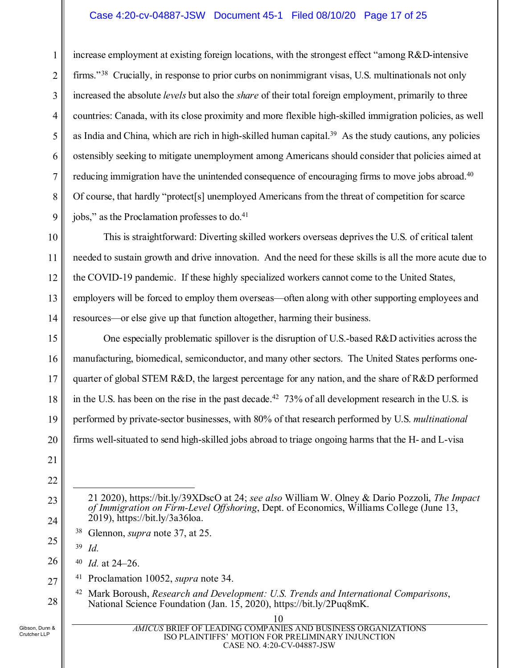#### Case 4:20-cv-04887-JSW Document 45-1 Filed 08/10/20 Page 17 of 25

2 3 4 5 6 7 8 9 increase employment at existing foreign locations, with the strongest effect "among R&D-intensive firms."<sup>[38](#page-16-4)</sup> Crucially, in response to prior curbs on nonimmigrant visas, U.S. multinationals not only increased the absolute *levels* but also the *share* of their total foreign employment, primarily to three countries: Canada, with its close proximity and more flexible high-skilled immigration policies, as well as India and China, which are rich in high-skilled human capital.<sup>[39](#page-16-5)</sup> As the study cautions, any policies ostensibly seeking to mitigate unemployment among Americans should consider that policies aimed at reducing immigration have the unintended consequence of encouraging firms to move jobs abroad.<sup>[40](#page-16-6)</sup> Of course, that hardly "protect[s] unemployed Americans from the threat of competition for scarce jobs," as the Proclamation professes to do.<sup>41</sup>

This is straightforward: Diverting skilled workers overseas deprives the U.S. of critical talent needed to sustain growth and drive innovation. And the need for these skills is all the more acute due to the COVID-19 pandemic. If these highly specialized workers cannot come to the United States, employers will be forced to employ them overseas—often along with other supporting employees and resources—or else give up that function altogether, harming their business.

One especially problematic spillover is the disruption of U.S.-based R&D activities across the manufacturing, biomedical, semiconductor, and many other sectors. The United States performs onequarter of global STEM R&D, the largest percentage for any nation, and the share of R&D performed in the U.S. has been on the rise in the past decade.<sup>42</sup> 73% of all development research in the U.S. is performed by private-sector businesses, with 80% of that research performed by U.S. *multinational* firms well-situated to send high-skilled jobs abroad to triage ongoing harms that the H- and L-visa

<sup>39</sup> *Id.*

<u>.</u>

<sup>40</sup> *Id.* at 24–26.

<sup>41</sup> Proclamation 10052, *supra* note 34.

<span id="page-16-1"></span><span id="page-16-0"></span><sup>42</sup> Mark Boroush, *Research and Development: U.S. Trends and International Comparisons*, National Science Foundation (Jan. 15, 2020), https://bit.ly/2Puq8mK.

<span id="page-16-8"></span>Gibson, Dunn & Crutcher LLP

1

10

11

12

13

14

15

16

17

18

19

20

21

22

23

24

<span id="page-16-5"></span><span id="page-16-4"></span>25

<span id="page-16-6"></span>26

<span id="page-16-7"></span>27

<span id="page-16-3"></span>10

<sup>21 2020),</sup><https://bit.ly/39XDscO> at 24; *see also* William W. Olney & Dario Pozzoli, *The Impact of Immigration on Firm-Level Offshoring*, Dept. of Economics, Williams College (June 13, 2019), https://bit.ly/3a36loa.

<span id="page-16-2"></span><sup>38</sup> Glennon, *supra* note 37, at 25.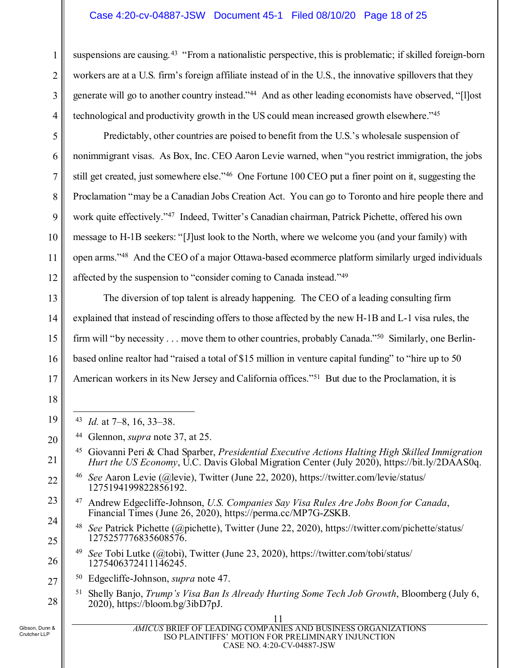#### Case 4:20-cv-04887-JSW Document 45-1 Filed 08/10/20 Page 18 of 25

suspensions are causing.<sup>[43](#page-17-7)</sup> "From a nationalistic perspective, this is problematic; if skilled foreign-born workers are at a U.S. firm's foreign affiliate instead of in the U.S., the innovative spillovers that they generate will go to another country instead."[44](#page-17-8) And as other leading economists have observed, "[l]ost technological and productivity growth in the US could mean increased growth elsewhere."[45](#page-17-9)

Predictably, other countries are poised to benefit from the U.S.'s wholesale suspension of nonimmigrant visas. As Box, Inc. CEO Aaron Levie warned, when "you restrict immigration, the jobs still get created, just somewhere else."[46](#page-17-10) One Fortune 100 CEO put a finer point on it, suggesting the Proclamation "may be a Canadian Jobs Creation Act. You can go to Toronto and hire people there and work quite effectively."[47](#page-17-11) Indeed, Twitter's Canadian chairman, Patrick Pichette, offered his own message to H-1B seekers: "[J]ust look to the North, where we welcome you (and your family) with open arms."[48](#page-17-12) And the CEO of a major Ottawa-based ecommerce platform similarly urged individuals affected by the suspension to "consider coming to Canada instead.["49](#page-17-13)

The diversion of top talent is already happening. The CEO of a leading consulting firm explained that instead of rescinding offers to those affected by the new H-1B and L-1 visa rules, the firm will "by necessity . . . move them to other countries, probably Canada."<sup>50</sup> Similarly, one Berlinbased online realtor had "raised a total of \$15 million in venture capital funding" to "hire up to 50 American workers in its New Jersey and California offices."[51](#page-17-15) But due to the Proclamation, it is

- <span id="page-17-1"></span>43 *Id.* at 7–8, 16, 33–38.
- <span id="page-17-3"></span><sup>44</sup> Glennon, *supra* note 37, at 25.
- <sup>45</sup> Giovanni Peri & Chad Sparber, *Presidential Executive Actions Halting High Skilled Immigration Hurt the US Economy*, U.C. Davis Global Migration Center (July 2020), https://bit.ly/2DAAS0q.
- <span id="page-17-4"></span><sup>46</sup> *See* Aaron Levie (@levie), Twitter (June 22, 2020), https://twitter.com/levie/status/ 1275194199822856192.
- <span id="page-17-2"></span><sup>47</sup> Andrew Edgecliffe-Johnson, *U.S. Companies Say Visa Rules Are Jobs Boon for Canada*, Financial Times (June 26, 2020), https://perma.cc/MP7G-ZSKB.
- <span id="page-17-6"></span><sup>48</sup> *See* Patrick Pichette (@pichette), Twitter (June 22, 2020), https://twitter.com/pichette/status/ 1275257776835608576.
- <span id="page-17-5"></span><sup>49</sup> *See* Tobi Lutke (@tobi), Twitter (June 23, 2020), https://twitter.com/tobi/status/ 1275406372411146245.
- <span id="page-17-15"></span><span id="page-17-14"></span><span id="page-17-0"></span>27 <sup>50</sup> Edgecliffe-Johnson, *supra* note 47.
	- <sup>51</sup> Shelly Banjo, *Trump's Visa Ban Is Already Hurting Some Tech Job Growth*, Bloomberg (July 6, 2020), https://bloom.bg/3ibD7pJ.

1

2

3

4

5

6

7

8

9

10

11

12

13

14

15

16

17

18

<span id="page-17-7"></span>19

<span id="page-17-8"></span>20

<span id="page-17-9"></span>21

<span id="page-17-10"></span>22

<span id="page-17-11"></span>23

<span id="page-17-12"></span>24

25

<span id="page-17-13"></span>26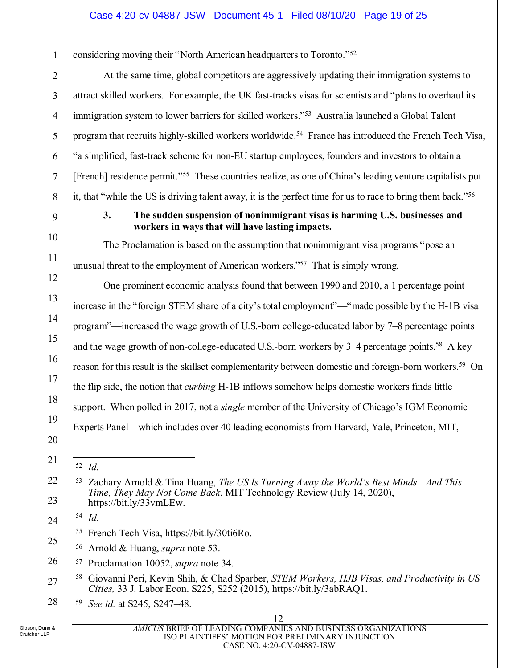considering moving their "North American headquarters to Toronto.["52](#page-18-5)

At the same time, global competitors are aggressively updating their immigration systems to attract skilled workers. For example, the UK fast-tracks visas for scientists and "plans to overhaul its immigration system to lower barriers for skilled workers."[53](#page-18-6) Australia launched a Global Talent program that recruits highly-skilled workers worldwide.[54](#page-18-7) France has introduced the French Tech Visa, "a simplified, fast-track scheme for non-EU startup employees, founders and investors to obtain a [French] residence permit."<sup>55</sup> These countries realize, as one of China's leading venture capitalists put it, that "while the US is driving talent away, it is the perfect time for us to race to bring them back.["56](#page-18-9)

<span id="page-18-0"></span>

1

2

3

4

5

6

7

8

9

10

11

12

13

14

15

16

17

18

19

20

<span id="page-18-5"></span>21

<span id="page-18-6"></span>22

23

<span id="page-18-7"></span>24

<span id="page-18-9"></span><span id="page-18-8"></span>25

### **3. The sudden suspension of nonimmigrant visas is harming U.S. businesses and workers in ways that will have lasting impacts.**

The Proclamation is based on the assumption that nonimmigrant visa programs "pose an unusual threat to the employment of American workers."[57](#page-18-10) That is simply wrong.

One prominent economic analysis found that between 1990 and 2010, a 1 percentage point increase in the "foreign STEM share of a city's total employment"—"made possible by the H-1B visa program"—increased the wage growth of U.S.-born college-educated labor by 7–8 percentage points and the wage growth of non-college-educated U.S.-born workers by 3–4 percentage points.<sup>[58](#page-18-11)</sup> A key reason for this result is the skillset complementarity between domestic and foreign-born workers.[59](#page-18-12) On the flip side, the notion that *curbing* H-1B inflows somehow helps domestic workers finds little support. When polled in 2017, not a *single* member of the University of Chicago's IGM Economic Experts Panel—which includes over 40 leading economists from Harvard, Yale, Princeton, MIT,

<sup>54</sup> *Id.*

- <span id="page-18-4"></span><sup>55</sup> French Tech Visa, [https://bit.ly/30ti6Ro.](https://bit.ly/30ti6Ro)
- <span id="page-18-1"></span><sup>56</sup> Arnold & Huang, *supra* note 53.
- <span id="page-18-10"></span>26 <sup>57</sup> Proclamation 10052, *supra* note 34.
- <span id="page-18-11"></span>27 <sup>58</sup> Giovanni Peri, Kevin Shih, & Chad Sparber, *STEM Workers, HJB Visas, and Productivity in US Cities,* 33 J. Labor Econ. S225, S252 (2015), https://bit.ly/3abRAQ1.
- <span id="page-18-12"></span>28 <sup>59</sup> *See id.* at S245, S247–48.

<span id="page-18-3"></span> <sup>52</sup> *Id.*

<span id="page-18-2"></span><sup>53</sup> Zachary Arnold & Tina Huang, *The US Is Turning Away the World's Best Minds—And This Time, They May Not Come Back*, MIT Technology Review (July 14, 2020), https://bit.ly/33vmLEw.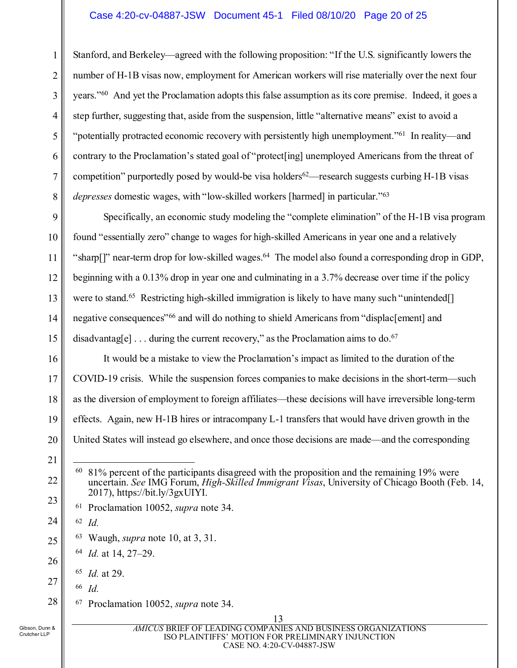#### Case 4:20-cv-04887-JSW Document 45-1 Filed 08/10/20 Page 20 of 25

1 2 3 4 5 6 7 8 Stanford, and Berkeley—agreed with the following proposition: "If the U.S. significantly lowers the number of H-1B visas now, employment for American workers will rise materially over the next four years."[60](#page-19-3) And yet the Proclamation adopts this false assumption as its core premise. Indeed, it goes a step further, suggesting that, aside from the suspension, little "alternative means" exist to avoid a "potentially protracted economic recovery with persistently high unemployment.["61](#page-19-4) In reality—and contrary to the Proclamation's stated goal of "protect[ing] unemployed Americans from the threat of competition" purportedly posed by would-be visa holders<sup>62</sup>—research suggests curbing H-1B visas *depresses* domestic wages, with "low-skilled workers [harmed] in particular."[63](#page-19-6)

9 10 11 12 13 14 15 Specifically, an economic study modeling the "complete elimination" of the H-1B visa program found "essentially zero" change to wages for high-skilled Americans in year one and a relatively "sharp[]" near-term drop for low-skilled wages.<sup>64</sup> The model also found a corresponding drop in GDP, beginning with a 0.13% drop in year one and culminating in a 3.7% decrease over time if the policy were to stand.<sup>65</sup> Restricting high-skilled immigration is likely to have many such "unintended<sup>[]</sup> negative consequences"[66](#page-19-9) and will do nothing to shield Americans from "displac[ement] and disadvantag[e]  $\dots$  during the current recovery," as the Proclamation aims to do.<sup>[67](#page-19-10)</sup>

16 17 18 19 20 It would be a mistake to view the Proclamation's impact as limited to the duration of the COVID-19 crisis. While the suspension forces companies to make decisions in the short-term—such as the diversion of employment to foreign affiliates—these decisions will have irreversible long-term effects. Again, new H-1B hires or intracompany L-1 transfers that would have driven growth in the United States will instead go elsewhere, and once those decisions are made—and the corresponding

<span id="page-19-3"></span>22

<span id="page-19-4"></span>23

<span id="page-19-5"></span>24

<span id="page-19-6"></span>25

<span id="page-19-7"></span>26

<span id="page-19-9"></span><span id="page-19-8"></span>27

<span id="page-19-10"></span>28

<span id="page-19-2"></span><sup>63</sup> Waugh, *supra* note 10, at 3, 31.

<sup>66</sup> *Id.*

<sup>67</sup> Proclamation 10052, *supra* note 34.

<sup>21</sup>

<span id="page-19-1"></span> $60\,$  81% percent of the participants disagreed with the proposition and the remaining 19% were uncertain. *See* IMG Forum, *High-Skilled Immigrant Visas*, University of Chicago Booth (Feb. 14, 2017), https://bit.ly/3gxUIYI.

<span id="page-19-0"></span><sup>61</sup> Proclamation 10052, *supra* note 34.

<sup>62</sup> *Id.*

<sup>64</sup> *Id.* at 14, 27–29.

<sup>65</sup> *Id.* at 29.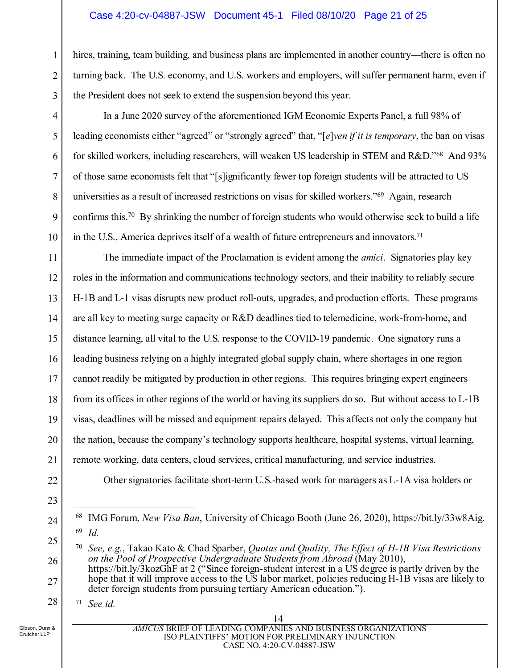#### Case 4:20-cv-04887-JSW Document 45-1 Filed 08/10/20 Page 21 of 25

hires, training, team building, and business plans are implemented in another country—there is often no turning back. The U.S. economy, and U.S. workers and employers, will suffer permanent harm, even if the President does not seek to extend the suspension beyond this year.

In a June 2020 survey of the aforementioned IGM Economic Experts Panel, a full 98% of leading economists either "agreed" or "strongly agreed" that, "[*e*]*ven if it is temporary*, the ban on visas for skilled workers, including researchers, will weaken US leadership in STEM and R&D."[68](#page-20-2) And 93% of those same economists felt that "[s]ignificantly fewer top foreign students will be attracted to US universities as a result of increased restrictions on visas for skilled workers."[69](#page-20-3) Again, research confirms this.[70](#page-20-4) By shrinking the number of foreign students who would otherwise seek to build a life in the U.S., America deprives itself of a wealth of future entrepreneurs and innovators.<sup>[71](#page-20-5)</sup>

11 12 13 14 15 16 17 18 19 20 21 The immediate impact of the Proclamation is evident among the *amici*. Signatories play key roles in the information and communications technology sectors, and their inability to reliably secure H-1B and L-1 visas disrupts new product roll-outs, upgrades, and production efforts. These programs are all key to meeting surge capacity or R&D deadlines tied to telemedicine, work-from-home, and distance learning, all vital to the U.S. response to the COVID-19 pandemic. One signatory runs a leading business relying on a highly integrated global supply chain, where shortages in one region cannot readily be mitigated by production in other regions. This requires bringing expert engineers from its offices in other regions of the world or having its suppliers do so. But without access to L-1B visas, deadlines will be missed and equipment repairs delayed. This affects not only the company but the nation, because the company's technology supports healthcare, hospital systems, virtual learning, remote working, data centers, cloud services, critical manufacturing, and service industries.

Other signatories facilitate short-term U.S.-based work for managers as L-1A visa holders or

<sup>70</sup> *See, e.g.*, Takao Kato & Chad Sparber, *Quotas and Quality, The Effect of H-1B Visa Restrictions on the Pool of Prospective Undergraduate Students from Abroad* (May 2010), https://bit.ly/3kozGhF at 2 ("Since foreign-student interest in a US degree is partly driven by the hope that it will improve access to the US labor market, policies reducing H-1B visas are likely to deter foreign students from pursuing tertiary American education.").

<sup>71</sup> *See id.*

<span id="page-20-5"></span>Gibson, Dunn & Crutcher LLP

22

23

<span id="page-20-2"></span>24

<span id="page-20-4"></span><span id="page-20-3"></span>25

26

27

28

1

2

3

4

5

6

7

8

9

<span id="page-20-1"></span><span id="page-20-0"></span> <sup>68</sup> IMG Forum, *New Visa Ban*, University of Chicago Booth (June 26, 2020), [https://bit.ly/33w8Aig.](https://bit.ly/33w8Aig) <sup>69</sup> *Id.*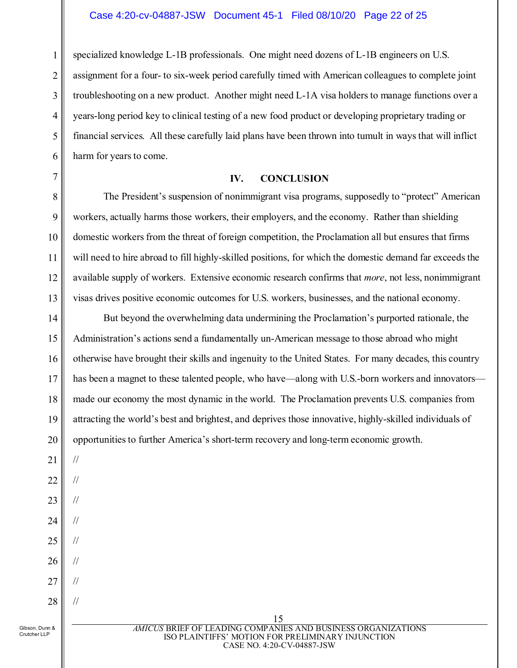1 2 3 4 5 6 specialized knowledge L-1B professionals. One might need dozens of L-1B engineers on U.S. assignment for a four- to six-week period carefully timed with American colleagues to complete joint troubleshooting on a new product. Another might need L-1A visa holders to manage functions over a years-long period key to clinical testing of a new food product or developing proprietary trading or financial services. All these carefully laid plans have been thrown into tumult in ways that will inflict harm for years to come.

#### **IV. CONCLUSION**

The President's suspension of nonimmigrant visa programs, supposedly to "protect" American workers, actually harms those workers, their employers, and the economy. Rather than shielding domestic workers from the threat of foreign competition, the Proclamation all but ensures that firms will need to hire abroad to fill highly-skilled positions, for which the domestic demand far exceeds the available supply of workers. Extensive economic research confirms that *more*, not less, nonimmigrant visas drives positive economic outcomes for U.S. workers, businesses, and the national economy.

14 15 16 17 18 19 20 But beyond the overwhelming data undermining the Proclamation's purported rationale, the Administration's actions send a fundamentally un-American message to those abroad who might otherwise have brought their skills and ingenuity to the United States. For many decades, this country has been a magnet to these talented people, who have—along with U.S.-born workers and innovators made our economy the most dynamic in the world. The Proclamation prevents U.S. companies from attracting the world's best and brightest, and deprives those innovative, highly-skilled individuals of opportunities to further America's short-term recovery and long-term economic growth.

21

//

//

//

//

//

//

//

//

<span id="page-21-0"></span>7

8

9

10

11

12

- 22
- 23
- 24
- 25
- 26
- 27
- 28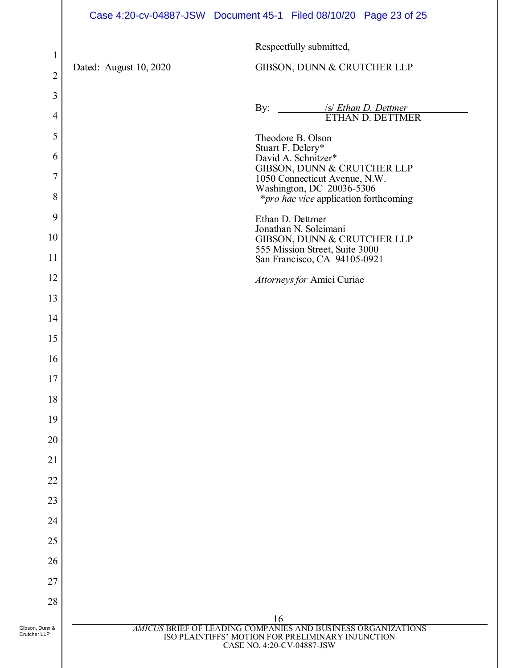|                                  |                        | Case 4:20-cv-04887-JSW Document 45-1 Filed 08/10/20 Page 23 of 25                                                                                     |
|----------------------------------|------------------------|-------------------------------------------------------------------------------------------------------------------------------------------------------|
|                                  |                        | Respectfully submitted,                                                                                                                               |
| $\mathbf{1}$                     | Dated: August 10, 2020 | GIBSON, DUNN & CRUTCHER LLP                                                                                                                           |
| $\overline{c}$                   |                        |                                                                                                                                                       |
| $\mathfrak{Z}$<br>$\overline{4}$ |                        | By: /s/ Ethan D. Dettmer<br>ETHAN D. DETTMER                                                                                                          |
| 5                                |                        | Theodore B. Olson                                                                                                                                     |
| 6                                |                        | Stuart F. Delery*<br>David A. Schnitzer*                                                                                                              |
| $\overline{7}$                   |                        | GIBSON, DUNN & CRUTCHER LLP<br>1050 Connecticut Avenue, N.W.<br>Washington, DC 20036-5306                                                             |
| 8                                |                        | <i>*pro hac vice</i> application forthcoming                                                                                                          |
| 9<br>10                          |                        | Ethan D. Dettmer<br>Jonathan N. Soleimani                                                                                                             |
| 11                               |                        | GIBSON, DUNN & CRUTCHER LLP<br>555 Mission Street, Suite 3000<br>San Francisco, CA 94105-0921                                                         |
| 12                               |                        | Attorneys for Amici Curiae                                                                                                                            |
| 13                               |                        |                                                                                                                                                       |
| 14                               |                        |                                                                                                                                                       |
| 15                               |                        |                                                                                                                                                       |
| 16                               |                        |                                                                                                                                                       |
| 17                               |                        |                                                                                                                                                       |
| 18                               |                        |                                                                                                                                                       |
| 19                               |                        |                                                                                                                                                       |
| 20                               |                        |                                                                                                                                                       |
| 21                               |                        |                                                                                                                                                       |
| 22                               |                        |                                                                                                                                                       |
| 23                               |                        |                                                                                                                                                       |
| 24                               |                        |                                                                                                                                                       |
| 25                               |                        |                                                                                                                                                       |
| 26                               |                        |                                                                                                                                                       |
| 27                               |                        |                                                                                                                                                       |
| 28                               |                        |                                                                                                                                                       |
| Gibson, Dunn &<br>Crutcher LLP   |                        | 16<br>AMICUS BRIEF OF LEADING COMPANIES AND BUSINESS ORGANIZATIONS<br>ISO PLAINTIFFS' MOTION FOR PRELIMINARY INJUNCTION<br>CASE NO. 4:20-CV-04887-JSW |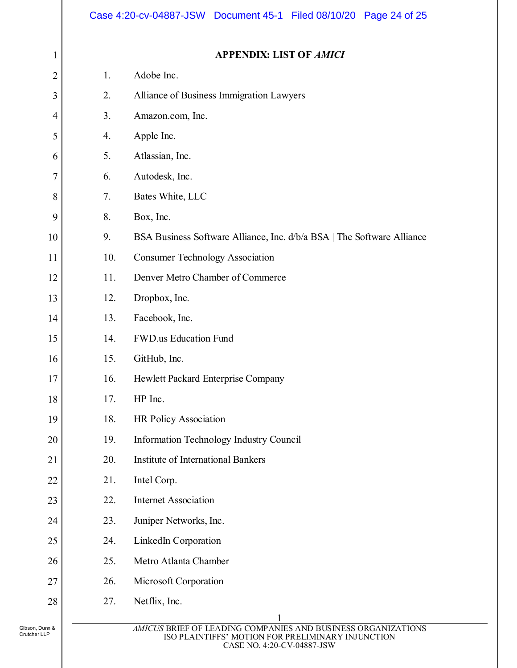|                                |     | Case 4:20-cv-04887-JSW Document 45-1 Filed 08/10/20 Page 24 of 25                                                                               |
|--------------------------------|-----|-------------------------------------------------------------------------------------------------------------------------------------------------|
| 1                              |     | <b>APPENDIX: LIST OF AMICI</b>                                                                                                                  |
| $\overline{2}$                 | 1.  | Adobe Inc.                                                                                                                                      |
| 3                              | 2.  | Alliance of Business Immigration Lawyers                                                                                                        |
| 4                              | 3.  | Amazon.com, Inc.                                                                                                                                |
| 5                              | 4.  | Apple Inc.                                                                                                                                      |
| 6                              | 5.  | Atlassian, Inc.                                                                                                                                 |
| $\overline{7}$                 | 6.  | Autodesk, Inc.                                                                                                                                  |
| 8                              | 7.  | Bates White, LLC                                                                                                                                |
| 9                              | 8.  | Box, Inc.                                                                                                                                       |
| 10                             | 9.  | BSA Business Software Alliance, Inc. d/b/a BSA   The Software Alliance                                                                          |
| 11                             | 10. | <b>Consumer Technology Association</b>                                                                                                          |
| 12                             | 11. | Denver Metro Chamber of Commerce                                                                                                                |
| 13                             | 12. | Dropbox, Inc.                                                                                                                                   |
| 14                             | 13. | Facebook, Inc.                                                                                                                                  |
| 15                             | 14. | <b>FWD.us Education Fund</b>                                                                                                                    |
| 16                             | 15. | GitHub, Inc.                                                                                                                                    |
| $17$                           | 16. | Hewlett Packard Enterprise Company                                                                                                              |
| 18                             | 17. | HP Inc.                                                                                                                                         |
| 19                             | 18. | <b>HR Policy Association</b>                                                                                                                    |
| 20                             | 19. | <b>Information Technology Industry Council</b>                                                                                                  |
| 21                             | 20. | <b>Institute of International Bankers</b>                                                                                                       |
| 22                             | 21. | Intel Corp.                                                                                                                                     |
| 23                             | 22. | <b>Internet Association</b>                                                                                                                     |
| 24                             | 23. | Juniper Networks, Inc.                                                                                                                          |
| 25                             | 24. | LinkedIn Corporation                                                                                                                            |
| 26                             | 25. | Metro Atlanta Chamber                                                                                                                           |
| 27                             | 26. | Microsoft Corporation                                                                                                                           |
| $28\,$                         | 27. | Netflix, Inc.                                                                                                                                   |
|                                |     |                                                                                                                                                 |
| Gibson, Dunn &<br>Crutcher LLP |     | AMICUS BRIEF OF LEADING COMPANIES AND BUSINESS ORGANIZATIONS<br>ISO PLAINTIFFS' MOTION FOR PRELIMINARY INJUNCTION<br>CASE NO. 4:20-CV-04887-JSW |